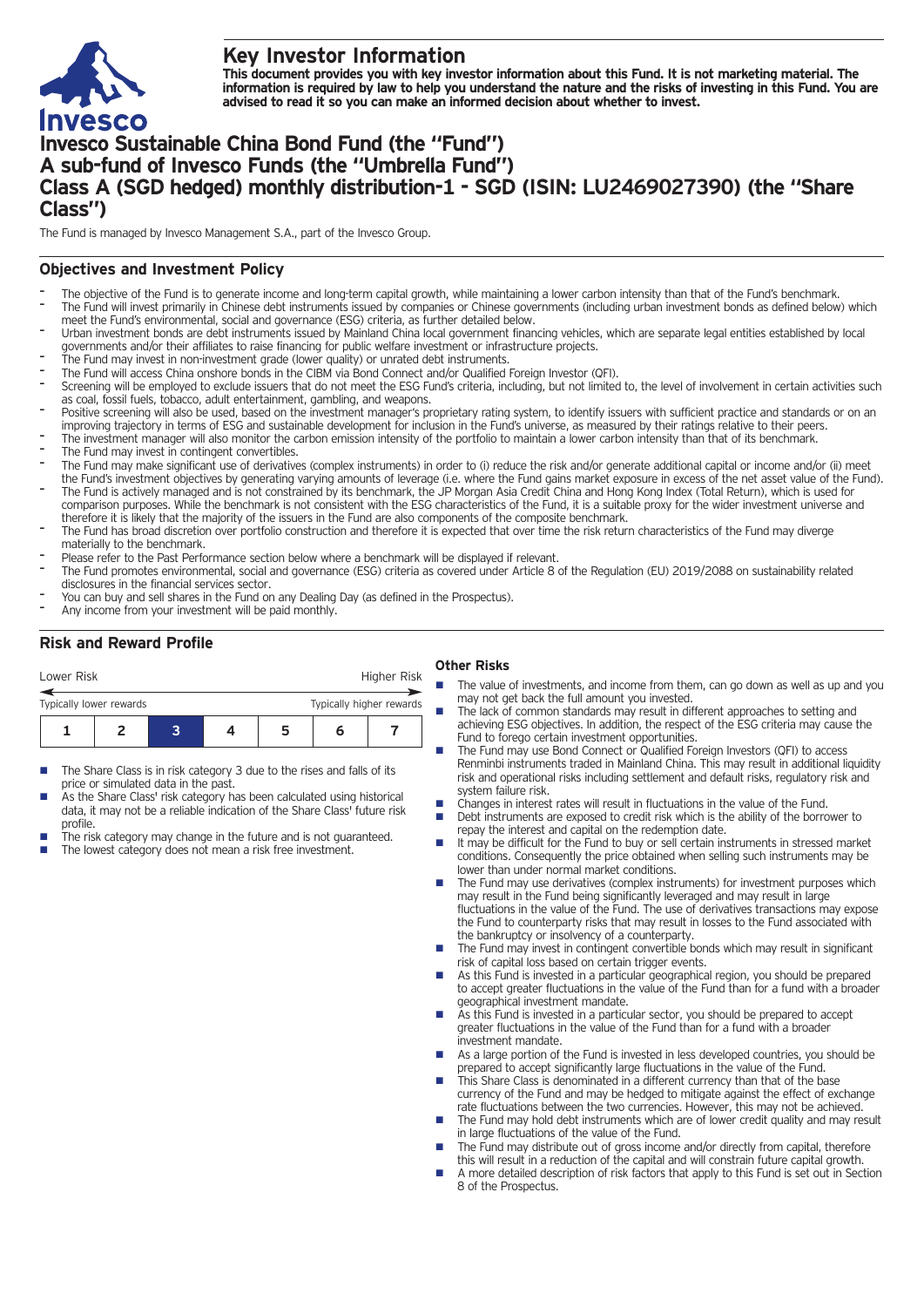

# **Key Investor Information**

This document provides you with key investor information about this Fund. It is not marketing material. The information is required by law to help you understand the nature and the risks of investing in this Fund. You are **advised to read it so you can make an informed decision about whether to invest.**

# **Invesco Sustainable China Bond Fund (the "Fund") A sub-fund of Invesco Funds (the "Umbrella Fund") Class A (SGD hedged) monthly distribution-1 - SGD (ISIN: LU2469027390) (the "Share Class")**

The Fund is managed by Invesco Management S.A., part of the Invesco Group.

## **Objectives and Investment Policy**

- The objective of the Fund is to generate income and long-term capital growth, while maintaining a lower carbon intensity than that of the Fund's benchmark.
- The Fund will invest primarily in Chinese debt instruments issued by companies or Chinese governments (including urban investment bonds as defined below) which meet the Fund's environmental, social and governance (ESG) criteria, as further detailed below.
- Urban investment bonds are debt instruments issued by Mainland China local government financing vehicles, which are separate legal entities established by local governments and/or their affiliates to raise financing for public welfare investment or infrastructure projects.
- The Fund may invest in non-investment grade (lower quality) or unrated debt instruments.
- The Fund will access China onshore bonds in the CIBM via Bond Connect and/or Qualified Foreign Investor (QFI).
- Screening will be employed to exclude issuers that do not meet the ESG Fund's criteria, including, but not limited to, the level of involvement in certain activities such as coal, fossil fuels, tobacco, adult entertainment, gambling, and weapons.
- Positive screening will also be used, based on the investment manager's proprietary rating system, to identify issuers with sufficient practice and standards or on an improving trajectory in terms of ESG and sustainable development for inclusion in the Fund's universe, as measured by their ratings relative to their peers.
- The investment manager will also monitor the carbon emission intensity of the portfolio to maintain a lower carbon intensity than that of its benchmark.
- The Fund may invest in contingent convertibles.
- The Fund may make significant use of derivatives (complex instruments) in order to (i) reduce the risk and/or generate additional capital or income and/or (ii) meet
- the Fund's investment objectives by generating varying amounts of leverage (i.e. where the Fund gains market exposure in excess of the net asset value of the Fund). The Fund is actively managed and is not constrained by its benchmark, the JP Morgan Asia Credit China and Hong Kong Index (Total Return), which is used for comparison purposes. While the benchmark is not consistent with the ESG characteristics of the Fund, it is a suitable proxy for the wider investment universe and therefore it is likely that the majority of the issuers in the Fund are also components of the composite benchmark.
- The Fund has broad discretion over portfolio construction and therefore it is expected that over time the risk return characteristics of the Fund may diverge materially to the benchmark.
- Please refer to the Past Performance section below where a benchmark will be displayed if relevant.
- The Fund promotes environmental, social and governance (ESG) criteria as covered under Article <sup>8</sup> of the Regulation (EU) 2019/2088 on sustainability related disclosures in the financial services sector.
- You can buy and sell shares in the Fund on any Dealing Day (as defined in the Prospectus).
- Any income from your investment will be paid monthly.

## **Risk and Reward Profile**

| Lower Risk              |   | Higher Risk |                          |  |  |  |
|-------------------------|---|-------------|--------------------------|--|--|--|
| Typically lower rewards |   |             | Typically higher rewards |  |  |  |
|                         | 2 |             |                          |  |  |  |

- The Share Class is in risk category 3 due to the rises and falls of its price or simulated data in the past.
- As the Share Class' risk category has been calculated using historical data, it may not be a reliable indication of the Share Class' future risk profile.
- The risk category may change in the future and is not guaranteed.
- The lowest category does not mean a risk free investment.

## **Other Risks**

- The value of investments, and income from them, can go down as well as up and you may not get back the full amount you invested.
	- The lack of common standards may result in different approaches to setting and achieving ESG objectives. In addition, the respect of the ESG criteria may cause the Fund to forego certain investment opportunities.
- The Fund may use Bond Connect or Qualified Foreign Investors (QFI) to access Renminbi instruments traded in Mainland China. This may result in additional liquidity risk and operational risks including settlement and default risks, regulatory risk and system failure risk.
- Changes in interest rates will result in fluctuations in the value of the Fund.
- Debt instruments are exposed to credit risk which is the ability of the borrower to repay the interest and capital on the redemption date.
- It may be difficult for the Fund to buy or sell certain instruments in stressed market conditions. Consequently the price obtained when selling such instruments may be lower than under normal market conditions.
- $\blacksquare$  The Fund may use derivatives (complex instruments) for investment purposes which may result in the Fund being significantly leveraged and may result in large fluctuations in the value of the Fund. The use of derivatives transactions may expose the Fund to counterparty risks that may result in losses to the Fund associated with the bankruptcy or insolvency of a counterparty.
- The Fund may invest in contingent convertible bonds which may result in significant risk of capital loss based on certain trigger events.
- As this Fund is invested in a particular geographical region, you should be prepared to accept greater fluctuations in the value of the Fund than for a fund with a broader geographical investment mandate.
- As this Fund is invested in a particular sector, you should be prepared to accept greater fluctuations in the value of the Fund than for a fund with a broader investment mandate.
- As a large portion of the Fund is invested in less developed countries, you should be prepared to accept significantly large fluctuations in the value of the Fund.
- n This Share Class is denominated in a different currency than that of the base currency of the Fund and may be hedged to mitigate against the effect of exchange rate fluctuations between the two currencies. However, this may not be achieved.
- The Fund may hold debt instruments which are of lower credit quality and may result in large fluctuations of the value of the Fund.
- The Fund may distribute out of gross income and/or directly from capital, therefore this will result in a reduction of the capital and will constrain future capital growth.
- n A more detailed description of risk factors that apply to this Fund is set out in Section 8 of the Prospectus.